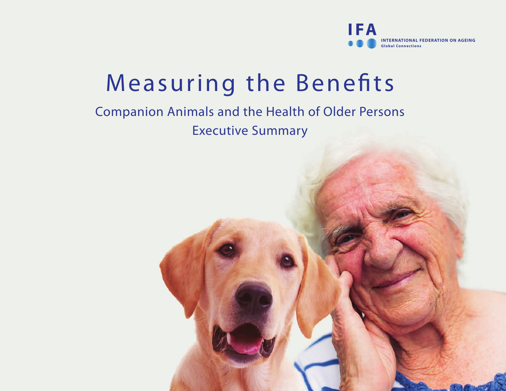

# Measuring the Benefits

# Companion Animals and the Health of Older Persons Executive Summary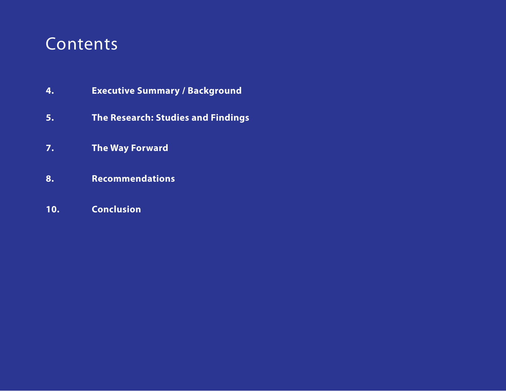# Contents

- **4. Executive Summary / Background**
- **5. The Research: Studies and Findings**
- **7. The Way Forward**
- **8. Recommendations**
- **10. Conclusion**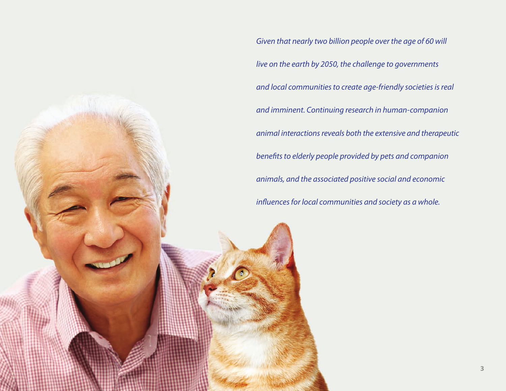*Given that nearly two billion people over the age of 60 will live on the earth by 2050, the challenge to governments and local communities to create age-friendly societies is real and imminent. Continuing research in human-companion animal interactions reveals both the extensive and therapeutic*  benefits to elderly people provided by pets and companion *animals, and the associated positive social and economic influences for local communities and society as a whole.*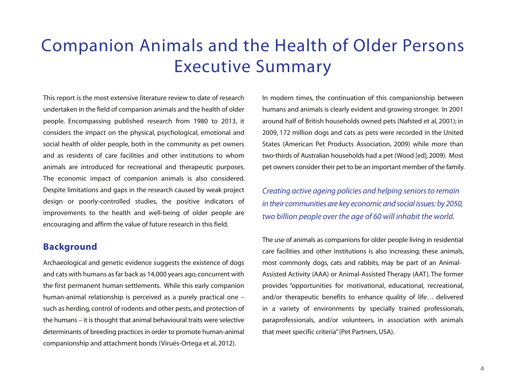# Companion Animals and the Health of Older Persons Executive Summary

This report is the most extensive literature review to date of research undertaken in the field of companion animals and the health of older people. Encompassing published research from 1980 to 2013, it considers the impact on the physical, psychological, emotional and social health of older people, both in the community as pet owners and as residents of care facilities and other institutions to whom animals are introduced for recreational and therapeutic purposes. The economic impact of companion animals is also considered. Despite limitations and gaps in the research caused by weak project design or poorly-controlled studies, the positive indicators of improvements to the health and well-being of older people are encouraging and affirm the value of future research in this field.

# **Background**

Archaeological and genetic evidence suggests the existence of dogs and cats with humans as far back as 14,000 years ago, concurrent with the first permanent human settlements. While this early companion human-animal relationship is perceived as a purely practical one – such as herding, control of rodents and other pests, and protection of the humans – it is thought that animal behavioural traits were selective determinants of breeding practices in order to promote human-animal companionship and attachment bonds (Virués-Ortega et al, 2012).

In modern times, the continuation of this companionship between humans and animals is clearly evident and growing stronger. In 2001 around half of British households owned pets (Nafsted et al, 2001); in 2009, 172 million dogs and cats as pets were recorded in the United States (American Pet Products Association, 2009) while more than two-thirds of Australian households had a pet (Wood [ed], 2009). Most pet owners consider their pet to be an important member of the family.

*Creating active ageing policies and helping seniors to remain in their communities are key economic and social issues: by 2050, two billion people over the age of 60 will inhabit the world.*

The use of animals as companions for older people living in residential care facilities and other institutions is also increasing; these animals, most commonly dogs, cats and rabbits, may be part of an Animal-Assisted Activity (AAA) or Animal-Assisted Therapy (AAT). The former provides "opportunities for motivational, educational, recreational, and/or therapeutic benefits to enhance quality of life… delivered in a variety of environments by specially trained professionals, paraprofessionals, and/or volunteers, in association with animals that meet specific criteria" (Pet Partners, USA).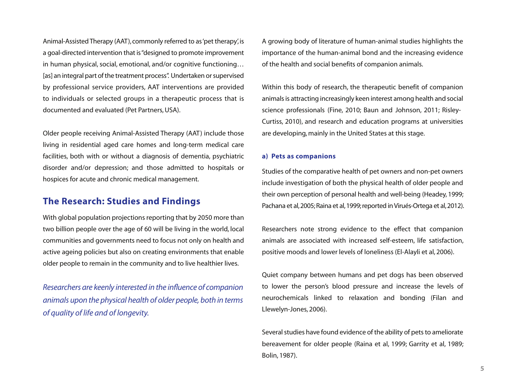Animal-Assisted Therapy (AAT), commonly referred to as 'pet therapy', is a goal-directed intervention that is "designed to promote improvement in human physical, social, emotional, and/or cognitive functioning… [as] an integral part of the treatment process". Undertaken or supervised by professional service providers, AAT interventions are provided to individuals or selected groups in a therapeutic process that is documented and evaluated (Pet Partners, USA).

Older people receiving Animal-Assisted Therapy (AAT) include those living in residential aged care homes and long-term medical care facilities, both with or without a diagnosis of dementia, psychiatric disorder and/or depression; and those admitted to hospitals or hospices for acute and chronic medical management.

# **The Research: Studies and Findings**

With global population projections reporting that by 2050 more than two billion people over the age of 60 will be living in the world, local communities and governments need to focus not only on health and active ageing policies but also on creating environments that enable older people to remain in the community and to live healthier lives.

*Researchers are keenly interested in the influence of companion animals upon the physical health of older people, both in terms of quality of life and of longevity.*

A growing body of literature of human-animal studies highlights the importance of the human-animal bond and the increasing evidence of the health and social benefits of companion animals.

Within this body of research, the therapeutic benefit of companion animals is attracting increasingly keen interest among health and social science professionals (Fine, 2010; Baun and Johnson, 2011; Risley-Curtiss, 2010), and research and education programs at universities are developing, mainly in the United States at this stage.

#### **a) Pets as companions**

Studies of the comparative health of pet owners and non-pet owners include investigation of both the physical health of older people and their own perception of personal health and well-being (Headey, 1999; Pachana et al, 2005; Raina et al, 1999; reported in Virués-Ortega et al, 2012).

Researchers note strong evidence to the effect that companion animals are associated with increased self-esteem, life satisfaction, positive moods and lower levels of loneliness (El-Alayli et al, 2006).

Quiet company between humans and pet dogs has been observed to lower the person's blood pressure and increase the levels of neurochemicals linked to relaxation and bonding (Filan and Llewelyn-Jones, 2006).

Several studies have found evidence of the ability of pets to ameliorate bereavement for older people (Raina et al, 1999; Garrity et al, 1989; Bolin, 1987).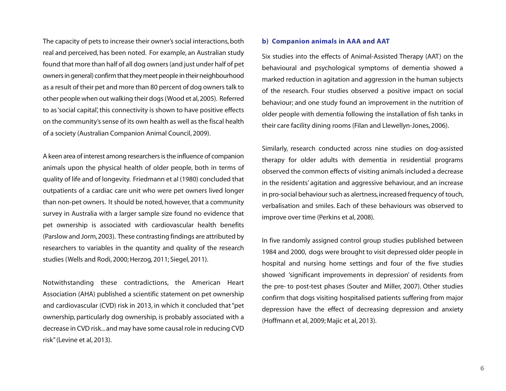The capacity of pets to increase their owner's social interactions, both real and perceived, has been noted. For example, an Australian study found that more than half of all dog owners (and just under half of pet owners in general) confirm that they meet people in their neighbourhood as a result of their pet and more than 80 percent of dog owners talk to other people when out walking their dogs (Wood et al, 2005). Referred to as 'social capital', this connectivity is shown to have positive effects on the community's sense of its own health as well as the fiscal health of a society (Australian Companion Animal Council, 2009).

A keen area of interest among researchers is the influence of companion animals upon the physical health of older people, both in terms of quality of life and of longevity. Friedmann et al (1980) concluded that outpatients of a cardiac care unit who were pet owners lived longer than non-pet owners. It should be noted, however, that a community survey in Australia with a larger sample size found no evidence that pet ownership is associated with cardiovascular health benefits (Parslow and Jorm, 2003). These contrasting findings are attributed by researchers to variables in the quantity and quality of the research studies (Wells and Rodi, 2000; Herzog, 2011; Siegel, 2011).

Notwithstanding these contradictions, the American Heart Association (AHA) published a scientific statement on pet ownership and cardiovascular (CVD) risk in 2013, in which it concluded that "pet ownership, particularly dog ownership, is probably associated with a decrease in CVD risk... and may have some causal role in reducing CVD risk" (Levine et al, 2013).

#### **b) Companion animals in AAA and AAT**

Six studies into the effects of Animal-Assisted Therapy (AAT) on the behavioural and psychological symptoms of dementia showed a marked reduction in agitation and aggression in the human subjects of the research. Four studies observed a positive impact on social behaviour; and one study found an improvement in the nutrition of older people with dementia following the installation of fish tanks in their care facility dining rooms (Filan and Llewellyn-Jones, 2006).

Similarly, research conducted across nine studies on dog-assisted therapy for older adults with dementia in residential programs observed the common effects of visiting animals included a decrease in the residents' agitation and aggressive behaviour, and an increase in pro-social behaviour such as alertness, increased frequency of touch, verbalisation and smiles. Each of these behaviours was observed to improve over time (Perkins et al, 2008).

In five randomly assigned control group studies published between 1984 and 2000, dogs were brought to visit depressed older people in hospital and nursing home settings and four of the five studies showed 'significant improvements in depression' of residents from the pre- to post-test phases (Souter and Miller, 2007). Other studies confirm that dogs visiting hospitalised patients suffering from major depression have the effect of decreasing depression and anxiety (Hoffmann et al, 2009; Majíc et al, 2013).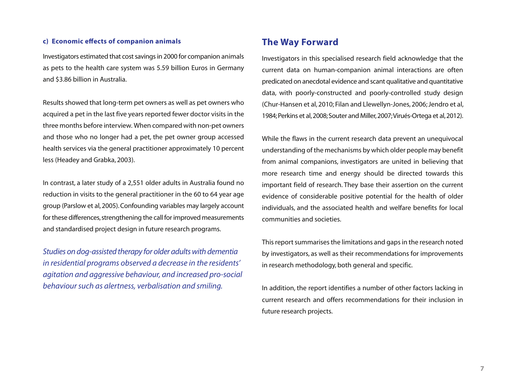### **c) Economic effects of companion animals**

Investigators estimated that cost savings in 2000 for companion animals as pets to the health care system was 5.59 billion Euros in Germany and \$3.86 billion in Australia.

Results showed that long-term pet owners as well as pet owners who acquired a pet in the last five years reported fewer doctor visits in the three months before interview. When compared with non-pet owners and those who no longer had a pet, the pet owner group accessed health services via the general practitioner approximately 10 percent less (Headey and Grabka, 2003).

In contrast, a later study of a 2,551 older adults in Australia found no reduction in visits to the general practitioner in the 60 to 64 year age group (Parslow et al, 2005). Confounding variables may largely account for these differences, strengthening the call for improved measurements and standardised project design in future research programs.

*Studies on dog-assisted therapy for older adults with dementia in residential programs observed a decrease in the residents' agitation and aggressive behaviour, and increased pro-social behaviour such as alertness, verbalisation and smiling.* 

# **The Way Forward**

Investigators in this specialised research field acknowledge that the current data on human-companion animal interactions are often predicated on anecdotal evidence and scant qualitative and quantitative data, with poorly-constructed and poorly-controlled study design (Chur-Hansen et al, 2010; Filan and Llewellyn-Jones, 2006; Jendro et al, 1984; Perkins et al, 2008; Souter and Miller, 2007; Virués-Ortega et al, 2012).

While the flaws in the current research data prevent an unequivocal understanding of the mechanisms by which older people may benefit from animal companions, investigators are united in believing that more research time and energy should be directed towards this important field of research. They base their assertion on the current evidence of considerable positive potential for the health of older individuals, and the associated health and welfare benefits for local communities and societies.

This report summarises the limitations and gaps in the research noted by investigators, as well as their recommendations for improvements in research methodology, both general and specific.

In addition, the report identifies a number of other factors lacking in current research and offers recommendations for their inclusion in future research projects.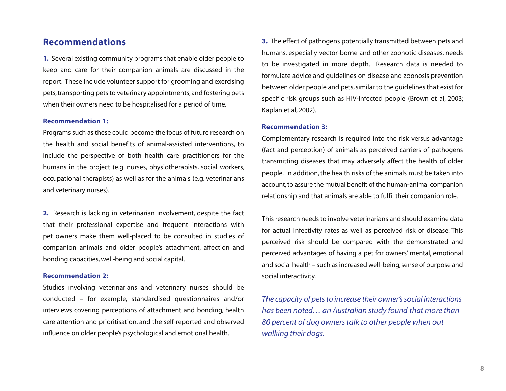# **Recommendations**

**1.** Several existing community programs that enable older people to keep and care for their companion animals are discussed in the report. These include volunteer support for grooming and exercising pets, transporting pets to veterinary appointments, and fostering pets when their owners need to be hospitalised for a period of time.

### **Recommendation 1:**

Programs such as these could become the focus of future research on the health and social benefits of animal-assisted interventions, to include the perspective of both health care practitioners for the humans in the project (e.g. nurses, physiotherapists, social workers, occupational therapists) as well as for the animals (e.g. veterinarians and veterinary nurses).

**2.** Research is lacking in veterinarian involvement, despite the fact that their professional expertise and frequent interactions with pet owners make them well-placed to be consulted in studies of companion animals and older people's attachment, affection and bonding capacities, well-being and social capital.

### **Recommendation 2:**

Studies involving veterinarians and veterinary nurses should be conducted – for example, standardised questionnaires and/or interviews covering perceptions of attachment and bonding, health care attention and prioritisation, and the self-reported and observed influence on older people's psychological and emotional health.

**3.** The effect of pathogens potentially transmitted between pets and humans, especially vector-borne and other zoonotic diseases, needs to be investigated in more depth. Research data is needed to formulate advice and guidelines on disease and zoonosis prevention between older people and pets, similar to the guidelines that exist for specific risk groups such as HIV-infected people (Brown et al, 2003; Kaplan et al, 2002).

### **Recommendation 3:**

Complementary research is required into the risk versus advantage (fact and perception) of animals as perceived carriers of pathogens transmitting diseases that may adversely affect the health of older people. In addition, the health risks of the animals must be taken into account, to assure the mutual benefit of the human-animal companion relationship and that animals are able to fulfil their companion role.

This research needs to involve veterinarians and should examine data for actual infectivity rates as well as perceived risk of disease. This perceived risk should be compared with the demonstrated and perceived advantages of having a pet for owners' mental, emotional and social health – such as increased well-being, sense of purpose and social interactivity.

*The capacity of pets to increase their owner's social interactions has been noted… an Australian study found that more than 80 percent of dog owners talk to other people when out walking their dogs.*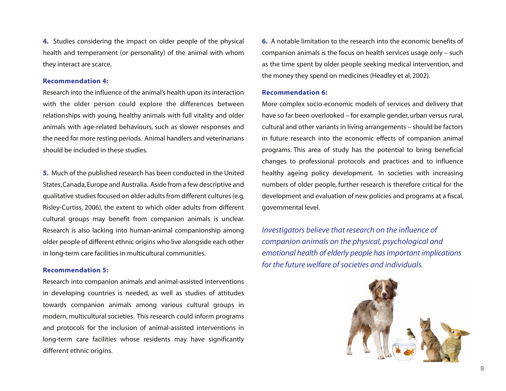**4.** Studies considering the impact on older people of the physical health and temperament (or personality) of the animal with whom they interact are scarce.

#### **Recommendation 4:**

Research into the influence of the animal's health upon its interaction with the older person could explore the differences between relationships with young, healthy animals with full vitality and older animals with age-related behaviours, such as slower responses and the need for more resting periods. Animal handlers and veterinarians should be included in these studies.

**5.** Much of the published research has been conducted in the United States, Canada, Europe and Australia. Aside from a few descriptive and qualitative studies focused on older adults from different cultures (e.g. Risley-Curtiss, 2006), the extent to which older adults from different cultural groups may benefit from companion animals is unclear. Research is also lacking into human-animal companionship among older people of different ethnic origins who live alongside each other in long-term care facilities in multicultural communities.

#### **Recommendation 5:**

Research into companion animals and animal-assisted interventions in developing countries is needed, as well as studies of attitudes towards companion animals among various cultural groups in modern, multicultural societies. This research could inform programs and protocols for the inclusion of animal-assisted interventions in long-term care facilities whose residents may have significantly different ethnic origins.

**6.** A notable limitation to the research into the economic benefits of companion animals is the focus on health services usage only – such as the time spent by older people seeking medical intervention, and the money they spend on medicines (Headley et al, 2002).

#### **Recommendation 6:**

More complex socio-economic models of services and delivery that have so far been overlooked – for example gender, urban versus rural, cultural and other variants in living arrangements – should be factors in future research into the economic effects of companion animal programs. This area of study has the potential to bring beneficial changes to professional protocols and practices and to influence healthy ageing policy development. In societies with increasing numbers of older people, further research is therefore critical for the development and evaluation of new policies and programs at a fiscal, governmental level.

*Investigators believe that research on the influence of companion animals on the physical, psychological and emotional health of elderly people has important implications for the future welfare of societies and individuals.*

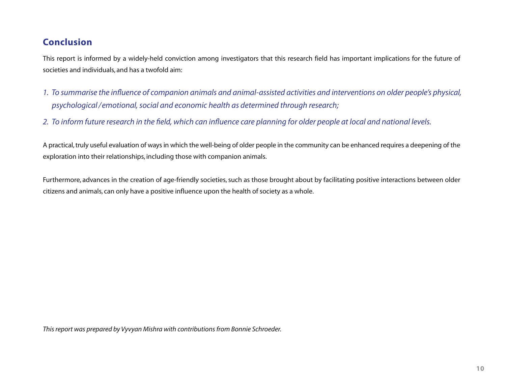# **Conclusion**

This report is informed by a widely-held conviction among investigators that this research field has important implications for the future of societies and individuals, and has a twofold aim:

- 1. To summarise the influence of companion animals and animal-assisted activities and interventions on older people's physical,  *psychological / emotional, social and economic health as determined through research;*
- 2. To inform future research in the field, which can influence care planning for older people at local and national levels.

A practical, truly useful evaluation of ways in which the well-being of older people in the community can be enhanced requires a deepening of the exploration into their relationships, including those with companion animals.

Furthermore, advances in the creation of age-friendly societies, such as those brought about by facilitating positive interactions between older citizens and animals, can only have a positive influence upon the health of society as a whole.

*This report was prepared by Vyvyan Mishra with contributions from Bonnie Schroeder.*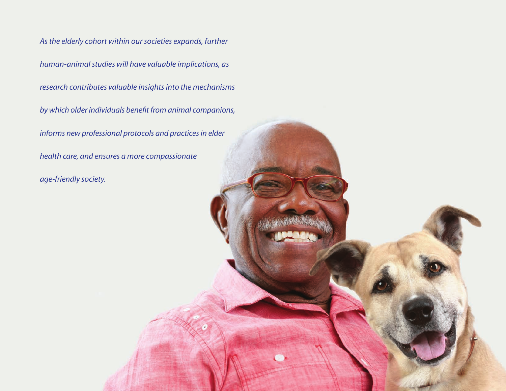*As the elderly cohort within our societies expands, further human-animal studies will have valuable implications, as research contributes valuable insights into the mechanisms* by which older individuals benefit from animal companions, *informs new professional protocols and practices in elder health care, and ensures a more compassionate age-friendly society.*